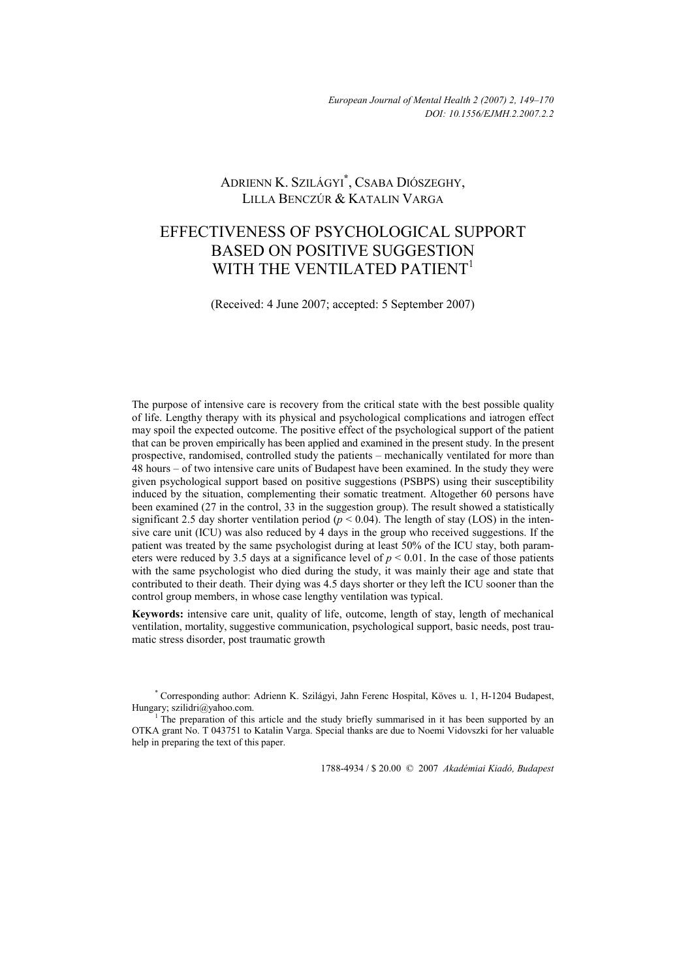# ADRIENN K. SZILÁGYI**\*** , CSABA DIÓSZEGHY, LILLA BENCZÚR & KATALIN VARGA

# EFFECTIVENESS OF PSYCHOLOGICAL SUPPORT BASED ON POSITIVE SUGGESTION WITH THE VENTILATED PATIENT<sup>1</sup>

(Received: 4 June 2007; accepted: 5 September 2007)

The purpose of intensive care is recovery from the critical state with the best possible quality of life. Lengthy therapy with its physical and psychological complications and iatrogen effect may spoil the expected outcome. The positive effect of the psychological support of the patient that can be proven empirically has been applied and examined in the present study. In the present prospective, randomised, controlled study the patients – mechanically ventilated for more than 48 hours – of two intensive care units of Budapest have been examined. In the study they were given psychological support based on positive suggestions (PSBPS) using their susceptibility induced by the situation, complementing their somatic treatment. Altogether 60 persons have been examined (27 in the control, 33 in the suggestion group). The result showed a statistically significant 2.5 day shorter ventilation period  $(p < 0.04)$ . The length of stay (LOS) in the intensive care unit (ICU) was also reduced by 4 days in the group who received suggestions. If the patient was treated by the same psychologist during at least 50% of the ICU stay, both parameters were reduced by 3.5 days at a significance level of  $p \le 0.01$ . In the case of those patients with the same psychologist who died during the study, it was mainly their age and state that contributed to their death. Their dying was 4.5 days shorter or they left the ICU sooner than the control group members, in whose case lengthy ventilation was typical.

**Keywords:** intensive care unit, quality of life, outcome, length of stay, length of mechanical ventilation, mortality, suggestive communication, psychological support, basic needs, post traumatic stress disorder, post traumatic growth

1788-4934 / \$ 20.00 © 2007 *Akadémiai Kiadó, Budapest* 

<sup>\*</sup> Corresponding author: Adrienn K. Szilágyi, Jahn Ferenc Hospital, Köves u. 1, H-1204 Budapest, Hungary; szilidri@yahoo.com.

The preparation of this article and the study briefly summarised in it has been supported by an OTKA grant No. T 043751 to Katalin Varga. Special thanks are due to Noemi Vidovszki for her valuable help in preparing the text of this paper.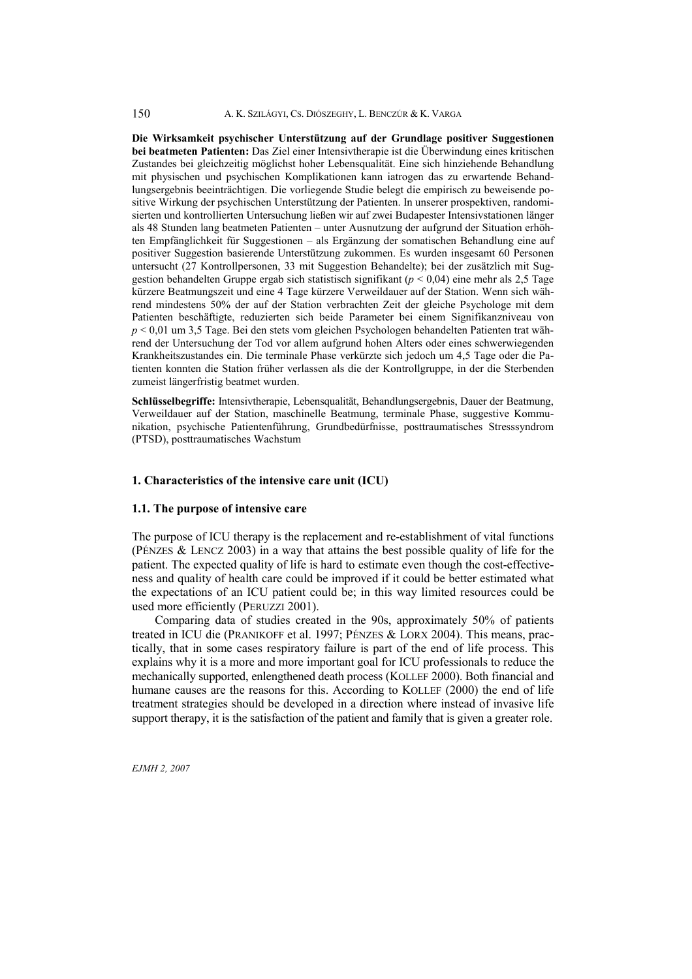**Die Wirksamkeit psychischer Unterstützung auf der Grundlage positiver Suggestionen bei beatmeten Patienten:** Das Ziel einer Intensivtherapie ist die Überwindung eines kritischen Zustandes bei gleichzeitig möglichst hoher Lebensqualität. Eine sich hinziehende Behandlung mit physischen und psychischen Komplikationen kann iatrogen das zu erwartende Behandlungsergebnis beeinträchtigen. Die vorliegende Studie belegt die empirisch zu beweisende positive Wirkung der psychischen Unterstützung der Patienten. In unserer prospektiven, randomisierten und kontrollierten Untersuchung ließen wir auf zwei Budapester Intensivstationen länger als 48 Stunden lang beatmeten Patienten – unter Ausnutzung der aufgrund der Situation erhöhten Empfänglichkeit für Suggestionen – als Ergänzung der somatischen Behandlung eine auf positiver Suggestion basierende Unterstützung zukommen. Es wurden insgesamt 60 Personen untersucht (27 Kontrollpersonen, 33 mit Suggestion Behandelte); bei der zusätzlich mit Suggestion behandelten Gruppe ergab sich statistisch signifikant (*p* < 0,04) eine mehr als 2,5 Tage kürzere Beatmungszeit und eine 4 Tage kürzere Verweildauer auf der Station. Wenn sich während mindestens 50% der auf der Station verbrachten Zeit der gleiche Psychologe mit dem Patienten beschäftigte, reduzierten sich beide Parameter bei einem Signifikanzniveau von *p* < 0,01 um 3,5 Tage. Bei den stets vom gleichen Psychologen behandelten Patienten trat während der Untersuchung der Tod vor allem aufgrund hohen Alters oder eines schwerwiegenden Krankheitszustandes ein. Die terminale Phase verkürzte sich jedoch um 4,5 Tage oder die Patienten konnten die Station früher verlassen als die der Kontrollgruppe, in der die Sterbenden zumeist längerfristig beatmet wurden.

**Schlüsselbegriffe:** Intensivtherapie, Lebensqualität, Behandlungsergebnis, Dauer der Beatmung, Verweildauer auf der Station, maschinelle Beatmung, terminale Phase, suggestive Kommunikation, psychische Patientenführung, Grundbedürfnisse, posttraumatisches Stresssyndrom (PTSD), posttraumatisches Wachstum

#### **1. Characteristics of the intensive care unit (ICU)**

#### **1.1. The purpose of intensive care**

The purpose of ICU therapy is the replacement and re-establishment of vital functions (PÉNZES & LENCZ 2003) in a way that attains the best possible quality of life for the patient. The expected quality of life is hard to estimate even though the cost-effectiveness and quality of health care could be improved if it could be better estimated what the expectations of an ICU patient could be; in this way limited resources could be used more efficiently (PERUZZI 2001).

 Comparing data of studies created in the 90s, approximately 50% of patients treated in ICU die (PRANIKOFF et al. 1997; PÉNZES & LORX 2004). This means, practically, that in some cases respiratory failure is part of the end of life process. This explains why it is a more and more important goal for ICU professionals to reduce the mechanically supported, enlengthened death process (KOLLEF 2000). Both financial and humane causes are the reasons for this. According to KOLLEF (2000) the end of life treatment strategies should be developed in a direction where instead of invasive life support therapy, it is the satisfaction of the patient and family that is given a greater role.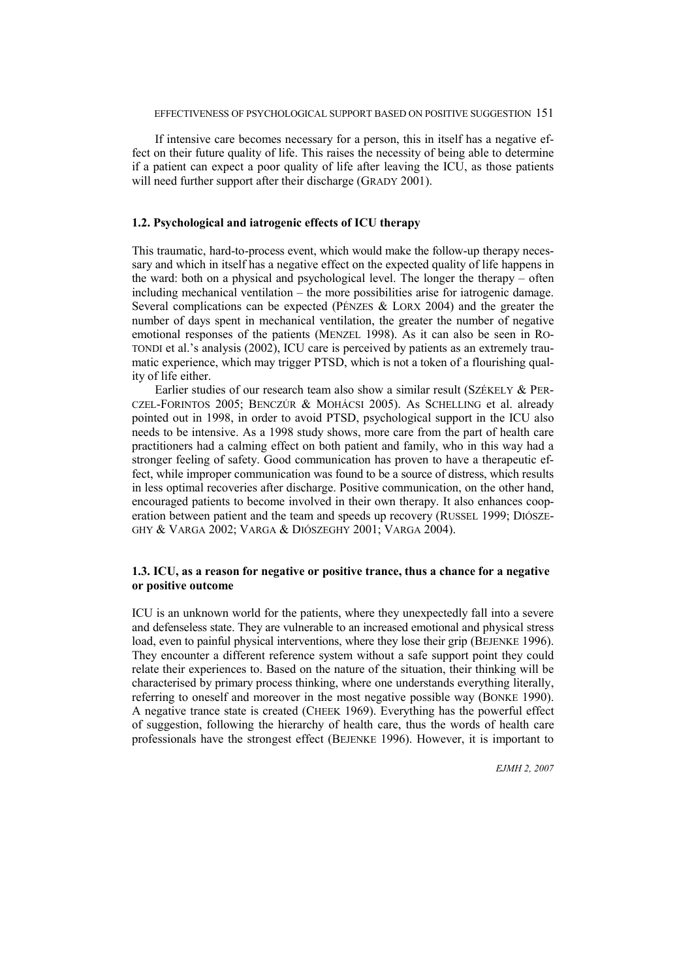If intensive care becomes necessary for a person, this in itself has a negative effect on their future quality of life. This raises the necessity of being able to determine if a patient can expect a poor quality of life after leaving the ICU, as those patients will need further support after their discharge (GRADY 2001).

# **1.2. Psychological and iatrogenic effects of ICU therapy**

This traumatic, hard-to-process event, which would make the follow-up therapy necessary and which in itself has a negative effect on the expected quality of life happens in the ward: both on a physical and psychological level. The longer the therapy – often including mechanical ventilation – the more possibilities arise for iatrogenic damage. Several complications can be expected (PÉNZES & LORX 2004) and the greater the number of days spent in mechanical ventilation, the greater the number of negative emotional responses of the patients (MENZEL 1998). As it can also be seen in RO-TONDI et al.'s analysis (2002), ICU care is perceived by patients as an extremely traumatic experience, which may trigger PTSD, which is not a token of a flourishing quality of life either.

Earlier studies of our research team also show a similar result (SZÉKELY & PER-CZEL-FORINTOS 2005; BENCZÚR & MOHÁCSI 2005). As SCHELLING et al. already pointed out in 1998, in order to avoid PTSD, psychological support in the ICU also needs to be intensive. As a 1998 study shows, more care from the part of health care practitioners had a calming effect on both patient and family, who in this way had a stronger feeling of safety. Good communication has proven to have a therapeutic effect, while improper communication was found to be a source of distress, which results in less optimal recoveries after discharge. Positive communication, on the other hand, encouraged patients to become involved in their own therapy. It also enhances cooperation between patient and the team and speeds up recovery (RUSSEL 1999; DIÓSZE-GHY & VARGA 2002; VARGA & DIÓSZEGHY 2001; VARGA 2004).

# **1.3. ICU, as a reason for negative or positive trance, thus a chance for a negative or positive outcome**

ICU is an unknown world for the patients, where they unexpectedly fall into a severe and defenseless state. They are vulnerable to an increased emotional and physical stress load, even to painful physical interventions, where they lose their grip (BEJENKE 1996). They encounter a different reference system without a safe support point they could relate their experiences to. Based on the nature of the situation, their thinking will be characterised by primary process thinking, where one understands everything literally, referring to oneself and moreover in the most negative possible way (BONKE 1990). A negative trance state is created (CHEEK 1969). Everything has the powerful effect of suggestion, following the hierarchy of health care, thus the words of health care professionals have the strongest effect (BEJENKE 1996). However, it is important to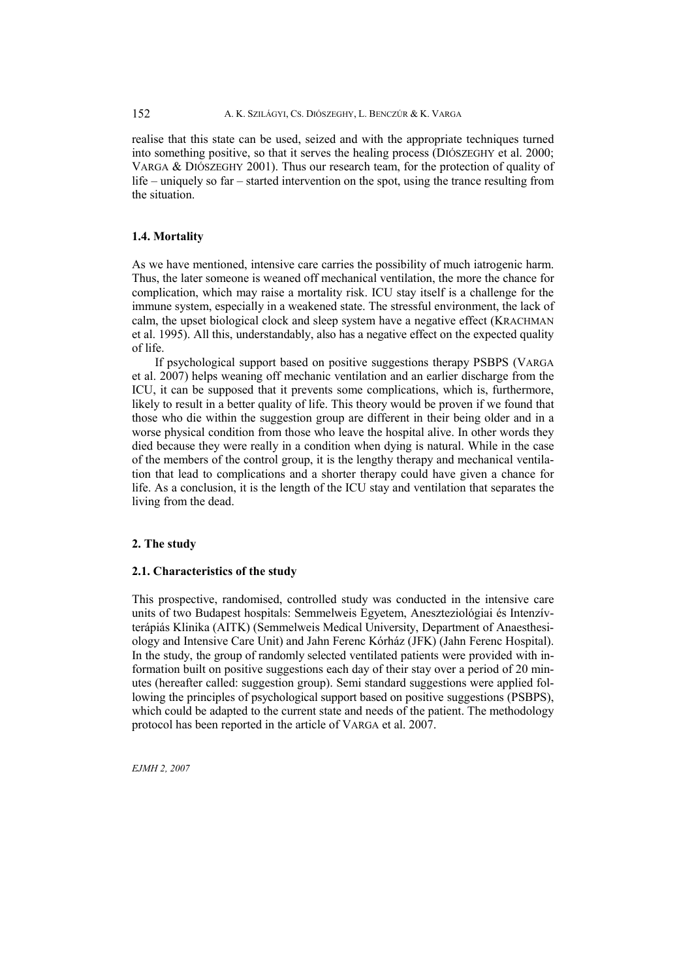realise that this state can be used, seized and with the appropriate techniques turned into something positive, so that it serves the healing process (DIÓSZEGHY et al. 2000; VARGA & DIÓSZEGHY 2001). Thus our research team, for the protection of quality of life – uniquely so far – started intervention on the spot, using the trance resulting from the situation.

## **1.4. Mortality**

As we have mentioned, intensive care carries the possibility of much iatrogenic harm. Thus, the later someone is weaned off mechanical ventilation, the more the chance for complication, which may raise a mortality risk. ICU stay itself is a challenge for the immune system, especially in a weakened state. The stressful environment, the lack of calm, the upset biological clock and sleep system have a negative effect (KRACHMAN et al. 1995). All this, understandably, also has a negative effect on the expected quality of life.

 If psychological support based on positive suggestions therapy PSBPS (VARGA et al. 2007) helps weaning off mechanic ventilation and an earlier discharge from the ICU, it can be supposed that it prevents some complications, which is, furthermore, likely to result in a better quality of life. This theory would be proven if we found that those who die within the suggestion group are different in their being older and in a worse physical condition from those who leave the hospital alive. In other words they died because they were really in a condition when dying is natural. While in the case of the members of the control group, it is the lengthy therapy and mechanical ventilation that lead to complications and a shorter therapy could have given a chance for life. As a conclusion, it is the length of the ICU stay and ventilation that separates the living from the dead.

#### **2. The study**

#### **2.1. Characteristics of the study**

This prospective, randomised, controlled study was conducted in the intensive care units of two Budapest hospitals: Semmelweis Egyetem, Aneszteziológiai és Intenzívterápiás Klinika (AITK) (Semmelweis Medical University, Department of Anaesthesiology and Intensive Care Unit) and Jahn Ferenc Kórház (JFK) (Jahn Ferenc Hospital). In the study, the group of randomly selected ventilated patients were provided with information built on positive suggestions each day of their stay over a period of 20 minutes (hereafter called: suggestion group). Semi standard suggestions were applied following the principles of psychological support based on positive suggestions (PSBPS), which could be adapted to the current state and needs of the patient. The methodology protocol has been reported in the article of VARGA et al. 2007.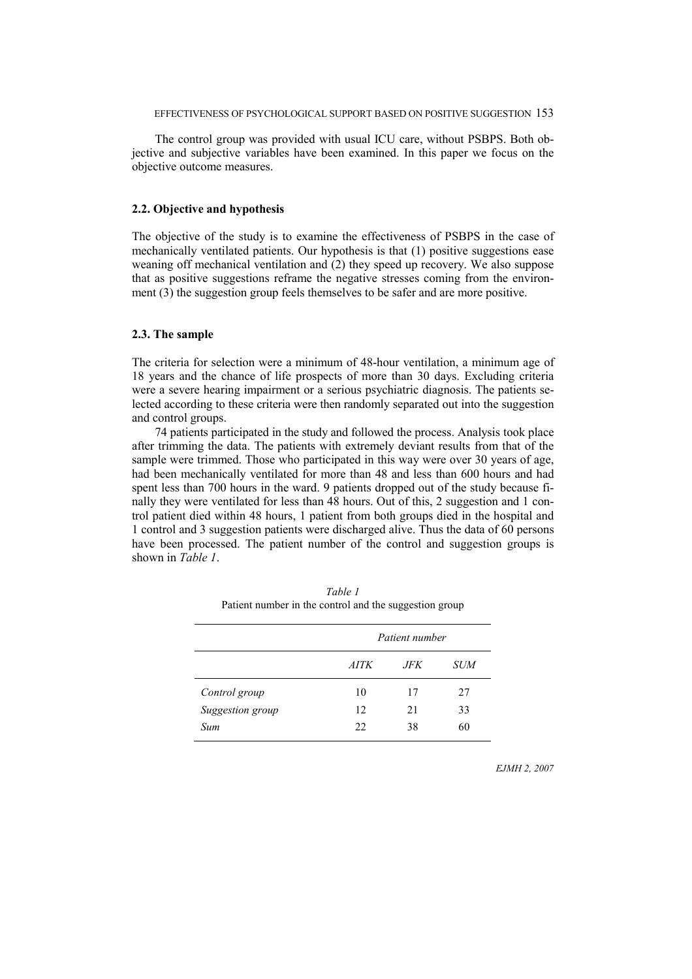#### EFFECTIVENESS OF PSYCHOLOGICAL SUPPORT BASED ON POSITIVE SUGGESTION 153

 The control group was provided with usual ICU care, without PSBPS. Both objective and subjective variables have been examined. In this paper we focus on the objective outcome measures.

## **2.2. Objective and hypothesis**

The objective of the study is to examine the effectiveness of PSBPS in the case of mechanically ventilated patients. Our hypothesis is that (1) positive suggestions ease weaning off mechanical ventilation and (2) they speed up recovery. We also suppose that as positive suggestions reframe the negative stresses coming from the environment (3) the suggestion group feels themselves to be safer and are more positive.

#### **2.3. The sample**

The criteria for selection were a minimum of 48-hour ventilation, a minimum age of 18 years and the chance of life prospects of more than 30 days. Excluding criteria were a severe hearing impairment or a serious psychiatric diagnosis. The patients selected according to these criteria were then randomly separated out into the suggestion and control groups.

 74 patients participated in the study and followed the process. Analysis took place after trimming the data. The patients with extremely deviant results from that of the sample were trimmed. Those who participated in this way were over 30 years of age, had been mechanically ventilated for more than 48 and less than 600 hours and had spent less than 700 hours in the ward. 9 patients dropped out of the study because finally they were ventilated for less than 48 hours. Out of this, 2 suggestion and 1 control patient died within 48 hours, 1 patient from both groups died in the hospital and 1 control and 3 suggestion patients were discharged alive. Thus the data of 60 persons have been processed. The patient number of the control and suggestion groups is shown in *Table 1*.

|                  | Patient number |      |     |  |  |  |
|------------------|----------------|------|-----|--|--|--|
|                  | <i>AITK</i>    | JFK. | SUM |  |  |  |
| Control group    | 10             | 17   | 27  |  |  |  |
| Suggestion group | 12             | 21   | 33  |  |  |  |
| Sum              | 22             | 38   | 60  |  |  |  |

*Table 1* Patient number in the control and the suggestion group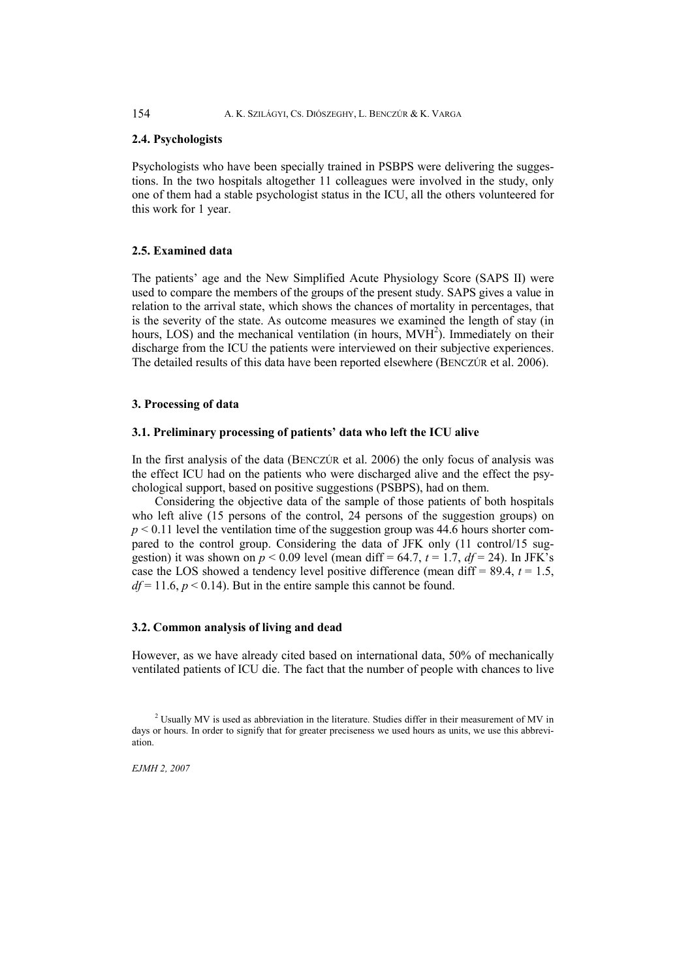#### **2.4. Psychologists**

Psychologists who have been specially trained in PSBPS were delivering the suggestions. In the two hospitals altogether 11 colleagues were involved in the study, only one of them had a stable psychologist status in the ICU, all the others volunteered for this work for 1 year.

#### **2.5. Examined data**

The patients' age and the New Simplified Acute Physiology Score (SAPS II) were used to compare the members of the groups of the present study. SAPS gives a value in relation to the arrival state, which shows the chances of mortality in percentages, that is the severity of the state. As outcome measures we examined the length of stay (in hours, LOS) and the mechanical ventilation (in hours, MVH<sup>2</sup>). Immediately on their discharge from the ICU the patients were interviewed on their subjective experiences. The detailed results of this data have been reported elsewhere (BENCZÚR et al. 2006).

# **3. Processing of data**

#### **3.1. Preliminary processing of patients' data who left the ICU alive**

In the first analysis of the data (BENCZÚR et al. 2006) the only focus of analysis was the effect ICU had on the patients who were discharged alive and the effect the psychological support, based on positive suggestions (PSBPS), had on them.

 Considering the objective data of the sample of those patients of both hospitals who left alive (15 persons of the control, 24 persons of the suggestion groups) on  $p \le 0.11$  level the ventilation time of the suggestion group was 44.6 hours shorter compared to the control group. Considering the data of JFK only (11 control/15 suggestion) it was shown on  $p < 0.09$  level (mean diff = 64.7,  $t = 1.7$ ,  $df = 24$ ). In JFK's case the LOS showed a tendency level positive difference (mean diff  $= 89.4$ ,  $t = 1.5$ ,  $df = 11.6, p < 0.14$ ). But in the entire sample this cannot be found.

#### **3.2. Common analysis of living and dead**

However, as we have already cited based on international data, 50% of mechanically ventilated patients of ICU die. The fact that the number of people with chances to live

 $2$  Usually MV is used as abbreviation in the literature. Studies differ in their measurement of MV in days or hours. In order to signify that for greater preciseness we used hours as units, we use this abbreviation.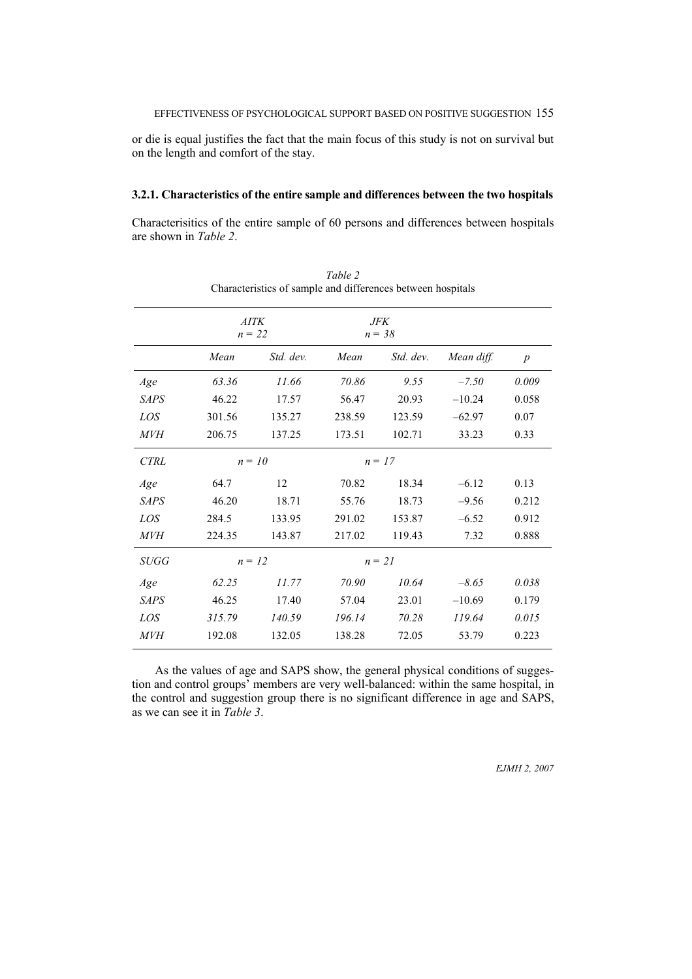or die is equal justifies the fact that the main focus of this study is not on survival but on the length and comfort of the stay.

### **3.2.1. Characteristics of the entire sample and differences between the two hospitals**

Characterisitics of the entire sample of 60 persons and differences between hospitals are shown in *Table 2*.

|             | <b>AITK</b><br>$n = 22$ |           |        | JFK<br>$n = 38$ |            |                  |
|-------------|-------------------------|-----------|--------|-----------------|------------|------------------|
|             | Mean                    | Std. dev. | Mean   | Std. dev.       | Mean diff. | $\boldsymbol{p}$ |
| Age         | 63.36                   | 11.66     | 70.86  | 9.55            | $-7.50$    | 0.009            |
| <b>SAPS</b> | 46.22                   | 17.57     | 56.47  | 20.93           | $-10.24$   | 0.058            |
| LOS         | 301.56                  | 135.27    | 238.59 | 123.59          | $-62.97$   | 0.07             |
| <i>MVH</i>  | 206.75                  | 137.25    | 173.51 | 102.71          | 33.23      | 0.33             |
| <b>CTRL</b> |                         | $n = 10$  |        | $n = 17$        |            |                  |
| Age         | 64.7                    | 12        | 70.82  | 18.34           | $-6.12$    | 0.13             |
| <b>SAPS</b> | 46.20                   | 18.71     | 55.76  | 18.73           | $-9.56$    | 0.212            |
| LOS         | 284.5                   | 133.95    | 291.02 | 153.87          | $-6.52$    | 0.912            |
| <i>MVH</i>  | 224.35                  | 143.87    | 217.02 | 119.43          | 7.32       | 0.888            |
| SUGG        | $n = 12$                |           |        | $n = 21$        |            |                  |
| Age         | 62.25                   | 11.77     | 70.90  | 10.64           | $-8.65$    | 0.038            |
| <b>SAPS</b> | 46.25                   | 17.40     | 57.04  | 23.01           | $-10.69$   | 0.179            |
| LOS         | 315.79                  | 140.59    | 196.14 | 70.28           | 119.64     | 0.015            |
| МVН         | 192.08                  | 132.05    | 138.28 | 72.05           | 53.79      | 0.223            |

*Table 2* Characteristics of sample and differences between hospitals

 As the values of age and SAPS show, the general physical conditions of suggestion and control groups' members are very well-balanced: within the same hospital, in the control and suggestion group there is no significant difference in age and SAPS, as we can see it in *Table 3*.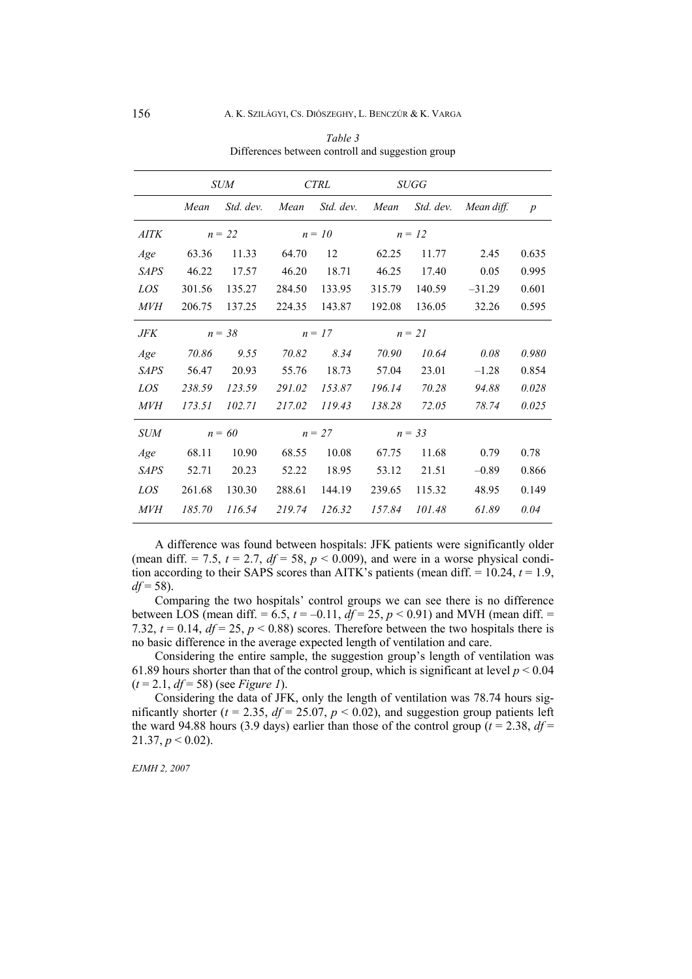|             |        | <b>SUM</b> | <b>CTRL</b> |           | <b>SUGG</b> |           |            |                  |
|-------------|--------|------------|-------------|-----------|-------------|-----------|------------|------------------|
|             | Mean   | Std. dev.  | Mean        | Std. dev. | Mean        | Std. dev. | Mean diff. | $\boldsymbol{p}$ |
| <b>AITK</b> |        | $n = 22$   | $n = 10$    |           | $n = 12$    |           |            |                  |
| Age         | 63.36  | 11.33      | 64.70       | 12        | 62.25       | 11.77     | 2.45       | 0.635            |
| <b>SAPS</b> | 46.22  | 17.57      | 46.20       | 18.71     | 46.25       | 17.40     | 0.05       | 0.995            |
| LOS         | 301.56 | 135.27     | 284.50      | 133.95    | 315.79      | 140.59    | $-31.29$   | 0.601            |
| <i>MVH</i>  | 206.75 | 137.25     | 224.35      | 143.87    | 192.08      | 136.05    | 32.26      | 0.595            |
| JFK         |        | $n = 38$   | $n = 17$    |           | $n = 21$    |           |            |                  |
| Age         | 70.86  | 9.55       | 70.82       | 8.34      | 70.90       | 10.64     | 0.08       | 0.980            |
| <b>SAPS</b> | 56.47  | 20.93      | 55.76       | 18.73     | 57.04       | 23.01     | $-1.28$    | 0.854            |
| LOS         | 238.59 | 123.59     | 291.02      | 153.87    | 196.14      | 70.28     | 94.88      | 0.028            |
| <i>MVH</i>  | 173.51 | 102.71     | 217.02      | 119.43    | 138.28      | 72.05     | 78.74      | 0.025            |
| <b>SUM</b>  |        | $n = 60$   | $n = 27$    |           | $n = 33$    |           |            |                  |
| Age         | 68.11  | 10.90      | 68.55       | 10.08     | 67.75       | 11.68     | 0.79       | 0.78             |
| <b>SAPS</b> | 52.71  | 20.23      | 52.22       | 18.95     | 53.12       | 21.51     | $-0.89$    | 0.866            |
| LOS         | 261.68 | 130.30     | 288.61      | 144.19    | 239.65      | 115.32    | 48.95      | 0.149            |
| <i>MVH</i>  | 185.70 | 116.54     | 219.74      | 126.32    | 157.84      | 101.48    | 61.89      | 0.04             |

*Table 3* Differences between controll and suggestion group

 A difference was found between hospitals: JFK patients were significantly older (mean diff.  $= 7.5$ ,  $t = 2.7$ ,  $df = 58$ ,  $p < 0.009$ ), and were in a worse physical condition according to their SAPS scores than AITK's patients (mean diff.  $= 10.24$ ,  $t = 1.9$ , *df* = 58).

 Comparing the two hospitals' control groups we can see there is no difference between LOS (mean diff. =  $6.5$ ,  $t = -0.11$ ,  $df = 25$ ,  $p < 0.91$ ) and MVH (mean diff. = 7.32,  $t = 0.14$ ,  $df = 25$ ,  $p < 0.88$ ) scores. Therefore between the two hospitals there is no basic difference in the average expected length of ventilation and care.

 Considering the entire sample, the suggestion group's length of ventilation was 61.89 hours shorter than that of the control group, which is significant at level  $p < 0.04$ (*t* = 2.1, *df* = 58) (see *Figure 1*).

 Considering the data of JFK, only the length of ventilation was 78.74 hours significantly shorter ( $t = 2.35$ ,  $df = 25.07$ ,  $p < 0.02$ ), and suggestion group patients left the ward 94.88 hours (3.9 days) earlier than those of the control group ( $t = 2.38$ ,  $df =$  $21.37, p < 0.02$ ).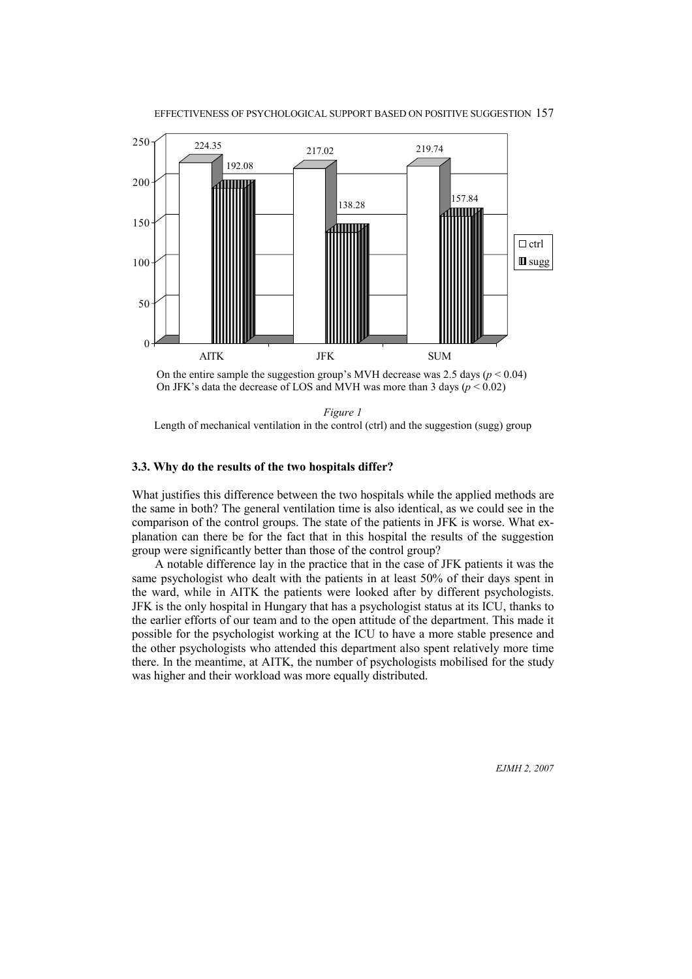



*Figure 1* Length of mechanical ventilation in the control (ctrl) and the suggestion (sugg) group

#### **3.3. Why do the results of the two hospitals differ?**

What justifies this difference between the two hospitals while the applied methods are the same in both? The general ventilation time is also identical, as we could see in the comparison of the control groups. The state of the patients in JFK is worse. What explanation can there be for the fact that in this hospital the results of the suggestion group were significantly better than those of the control group?

 A notable difference lay in the practice that in the case of JFK patients it was the same psychologist who dealt with the patients in at least 50% of their days spent in the ward, while in AITK the patients were looked after by different psychologists. JFK is the only hospital in Hungary that has a psychologist status at its ICU, thanks to the earlier efforts of our team and to the open attitude of the department. This made it possible for the psychologist working at the ICU to have a more stable presence and the other psychologists who attended this department also spent relatively more time there. In the meantime, at AITK, the number of psychologists mobilised for the study was higher and their workload was more equally distributed.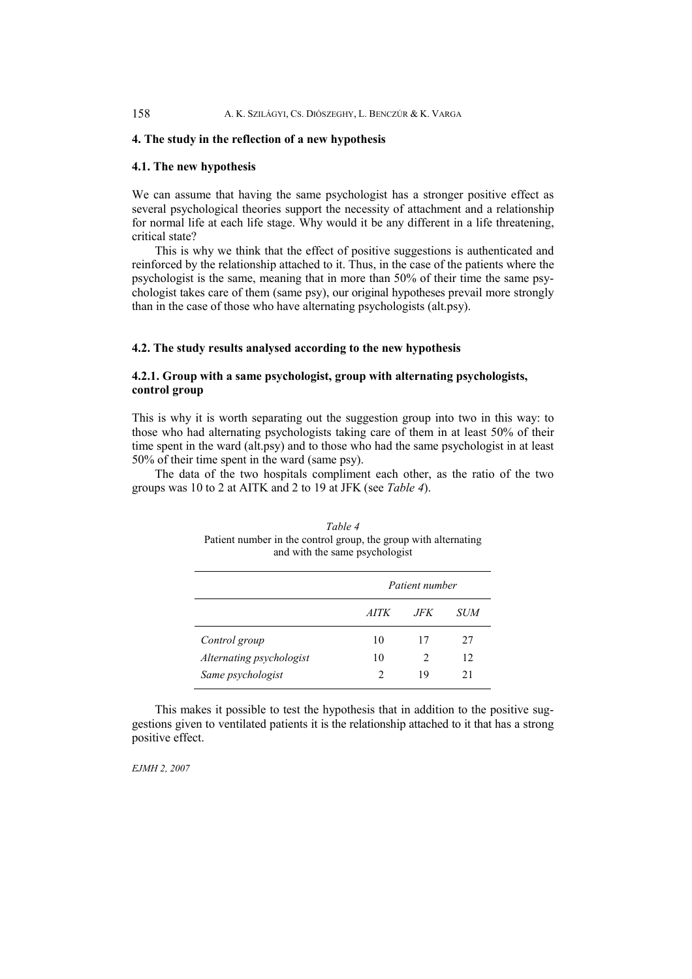#### **4. The study in the reflection of a new hypothesis**

## **4.1. The new hypothesis**

We can assume that having the same psychologist has a stronger positive effect as several psychological theories support the necessity of attachment and a relationship for normal life at each life stage. Why would it be any different in a life threatening, critical state?

 This is why we think that the effect of positive suggestions is authenticated and reinforced by the relationship attached to it. Thus, in the case of the patients where the psychologist is the same, meaning that in more than 50% of their time the same psychologist takes care of them (same psy), our original hypotheses prevail more strongly than in the case of those who have alternating psychologists (alt.psy).

#### **4.2. The study results analysed according to the new hypothesis**

# **4.2.1. Group with a same psychologist, group with alternating psychologists, control group**

This is why it is worth separating out the suggestion group into two in this way: to those who had alternating psychologists taking care of them in at least 50% of their time spent in the ward (alt.psy) and to those who had the same psychologist in at least 50% of their time spent in the ward (same psy).

 The data of the two hospitals compliment each other, as the ratio of the two groups was 10 to 2 at AITK and 2 to 19 at JFK (see *Table 4*).

| and with the same psychologist |                |               |     |  |  |  |  |  |
|--------------------------------|----------------|---------------|-----|--|--|--|--|--|
|                                | Patient number |               |     |  |  |  |  |  |
|                                | <i>AITK</i>    | .JFK          | SUM |  |  |  |  |  |
| Control group                  | 10             | 17            | 27  |  |  |  |  |  |
| Alternating psychologist       | 10             | $\mathcal{L}$ | 12  |  |  |  |  |  |
| Same psychologist              | C              | 19            | 21  |  |  |  |  |  |

*Table 4*  Patient number in the control group, the group with alternating and with the same psychologist

 This makes it possible to test the hypothesis that in addition to the positive suggestions given to ventilated patients it is the relationship attached to it that has a strong positive effect.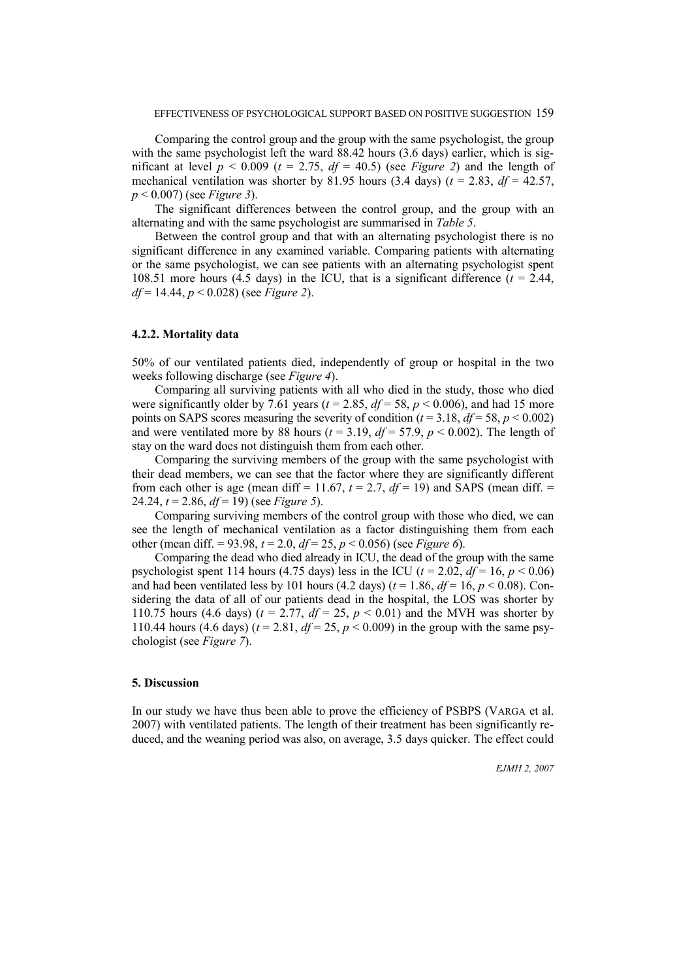Comparing the control group and the group with the same psychologist, the group with the same psychologist left the ward 88.42 hours (3.6 days) earlier, which is significant at level  $p < 0.009$  ( $t = 2.75$ ,  $df = 40.5$ ) (see *Figure 2*) and the length of mechanical ventilation was shorter by 81.95 hours (3.4 days) ( $t = 2.83$ ,  $df = 42.57$ , *p* < 0.007) (see *Figure 3*).

 The significant differences between the control group, and the group with an alternating and with the same psychologist are summarised in *Table 5*.

 Between the control group and that with an alternating psychologist there is no significant difference in any examined variable. Comparing patients with alternating or the same psychologist, we can see patients with an alternating psychologist spent 108.51 more hours (4.5 days) in the ICU, that is a significant difference ( $t = 2.44$ , *df* = 14.44, *p* < 0.028) (see *Figure 2*).

### **4.2.2. Mortality data**

50% of our ventilated patients died, independently of group or hospital in the two weeks following discharge (see *Figure 4*).

 Comparing all surviving patients with all who died in the study, those who died were significantly older by 7.61 years ( $t = 2.85$ ,  $df = 58$ ,  $p < 0.006$ ), and had 15 more points on SAPS scores measuring the severity of condition ( $t = 3.18$ ,  $df = 58$ ,  $p < 0.002$ ) and were ventilated more by 88 hours ( $t = 3.19$ ,  $df = 57.9$ ,  $p < 0.002$ ). The length of stay on the ward does not distinguish them from each other.

 Comparing the surviving members of the group with the same psychologist with their dead members, we can see that the factor where they are significantly different from each other is age (mean diff = 11.67,  $t = 2.7$ ,  $df = 19$ ) and SAPS (mean diff. = 24.24, *t* = 2.86, *df* = 19) (see *Figure 5*).

 Comparing surviving members of the control group with those who died, we can see the length of mechanical ventilation as a factor distinguishing them from each other (mean diff. = 93.98,  $t = 2.0$ ,  $df = 25$ ,  $p < 0.056$ ) (see *Figure 6*).

 Comparing the dead who died already in ICU, the dead of the group with the same psychologist spent 114 hours (4.75 days) less in the ICU ( $t = 2.02$ ,  $df = 16$ ,  $p < 0.06$ ) and had been ventilated less by 101 hours (4.2 days) ( $t = 1.86$ ,  $df = 16$ ,  $p < 0.08$ ). Considering the data of all of our patients dead in the hospital, the LOS was shorter by 110.75 hours (4.6 days) ( $t = 2.77$ ,  $df = 25$ ,  $p < 0.01$ ) and the MVH was shorter by 110.44 hours (4.6 days) ( $t = 2.81$ ,  $df = 25$ ,  $p < 0.009$ ) in the group with the same psychologist (see *Figure 7*).

#### **5. Discussion**

In our study we have thus been able to prove the efficiency of PSBPS (VARGA et al. 2007) with ventilated patients. The length of their treatment has been significantly reduced, and the weaning period was also, on average, 3.5 days quicker. The effect could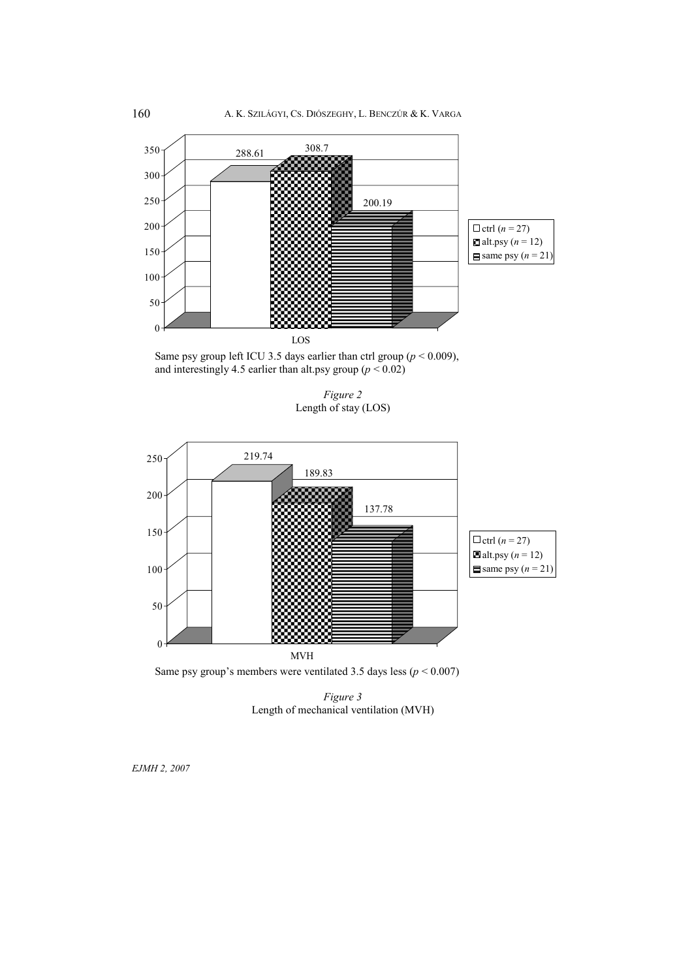

 Same psy group left ICU 3.5 days earlier than ctrl group (*p* < 0.009), and interestingly 4.5 earlier than alt.psy group  $(p < 0.02)$ 

*Figure 2* Length of stay (LOS)



Same psy group's members were ventilated 3.5 days less ( $p < 0.007$ )

*Figure 3*  Length of mechanical ventilation (MVH)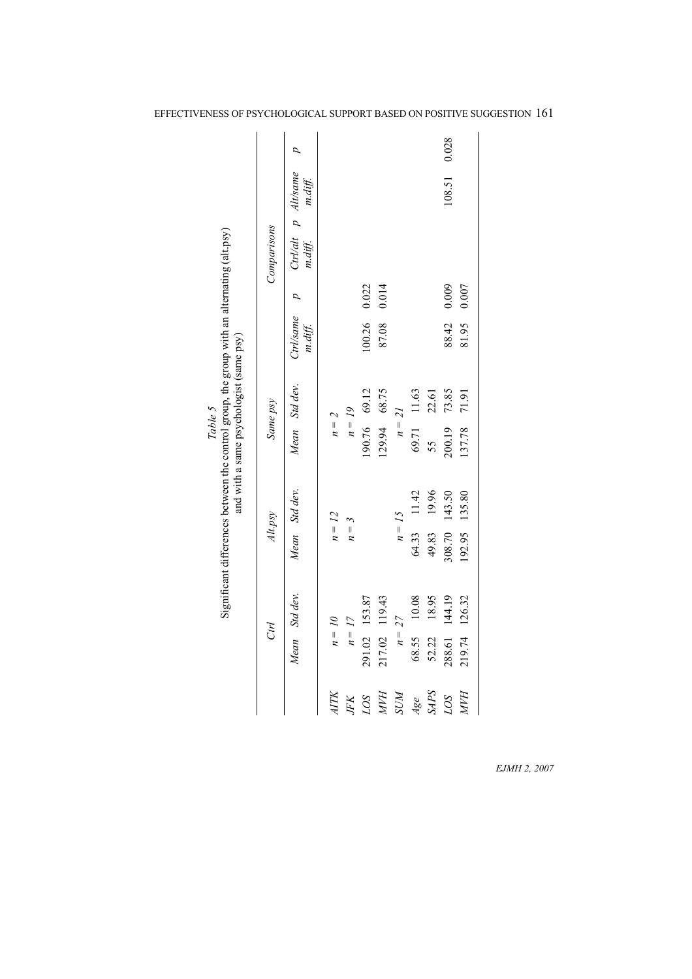|                                                                                                                                                  |             | p                              |          |           |               |               |             |             |             | 0.028         |               |
|--------------------------------------------------------------------------------------------------------------------------------------------------|-------------|--------------------------------|----------|-----------|---------------|---------------|-------------|-------------|-------------|---------------|---------------|
|                                                                                                                                                  |             | Ctrl/alt p Alt/same<br>m.diff. |          |           |               |               |             |             |             | 108.51        |               |
|                                                                                                                                                  |             |                                |          |           |               |               |             |             |             |               |               |
|                                                                                                                                                  | Comparisons | m.diff.                        |          |           |               |               |             |             |             |               |               |
|                                                                                                                                                  |             | D                              |          |           | 0.022         | 0.014         |             |             |             | 0.009         | 0.007         |
|                                                                                                                                                  |             | Ctrl/same<br>m.diff.           |          |           | 100.26        | 87.08         |             |             |             | 88.42         | 81.95         |
| Significant differences between the control group, the group with an alternating (alt.psy)<br>and with a same psychologist (same psy)<br>Table 5 | Same psy    | Mean Std dev.                  |          | $n = 19$  | 190.76 69.12  | 129.94 68.75  | $n=21$      | 69.71 11.63 | 22.61       | 73.85         | 71.91         |
|                                                                                                                                                  |             |                                | $n=2$    |           |               |               |             |             | 55          | 200.19        | 137.78        |
|                                                                                                                                                  |             | Mean Std dev.                  |          |           |               |               |             | 11.42       | 19.96       | 308.70 143.50 | 192.95 135.80 |
|                                                                                                                                                  | Alt.psy     |                                | $n = 12$ | $n=3$     |               |               | $n = 15$    | 64.33       | 49.83       |               |               |
|                                                                                                                                                  |             | Mean Std dev.                  |          |           |               |               |             | 68.55 10.08 | 18.95       | 144.19        |               |
|                                                                                                                                                  | Ctrl        |                                | $n = 10$ | $n = 17$  | 291.02 153.87 | 217.02 119.43 | $n = 27$    |             | 52.22       | 288.61        | 219.74 126.32 |
|                                                                                                                                                  |             |                                | ATTK     | $J\!F\!K$ | LOS           | <b>HAW</b>    | <b>N/IS</b> | Age         | <b>SAPS</b> | LOS           | <b>HAN</b>    |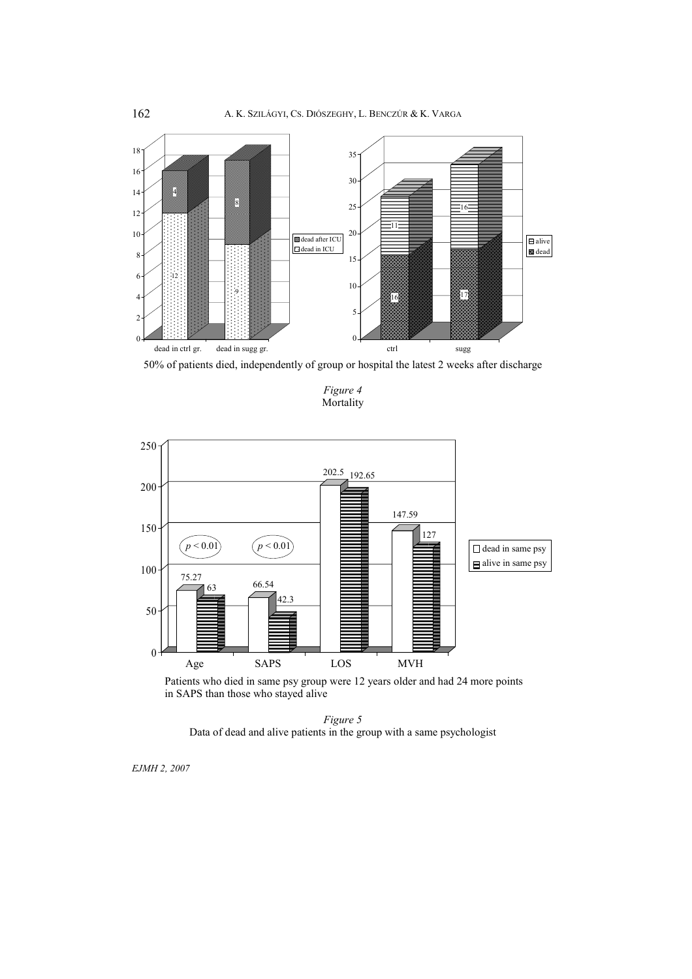

50% of patients died, independently of group or hospital the latest 2 weeks after discharge

*Figure 4* Mortality



 Patients who died in same psy group were 12 years older and had 24 more points in SAPS than those who stayed alive

*Figure 5* Data of dead and alive patients in the group with a same psychologist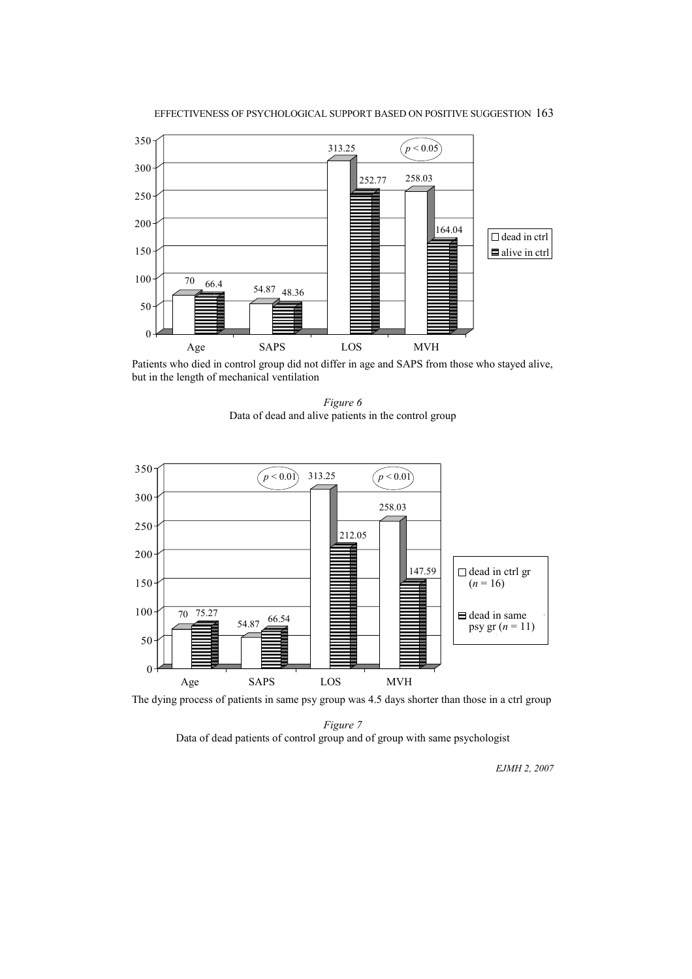



Patients who died in control group did not differ in age and SAPS from those who stayed alive, but in the length of mechanical ventilation

*Figure 6*  Data of dead and alive patients in the control group



The dying process of patients in same psy group was 4.5 days shorter than those in a ctrl group

*Figure 7*  Data of dead patients of control group and of group with same psychologist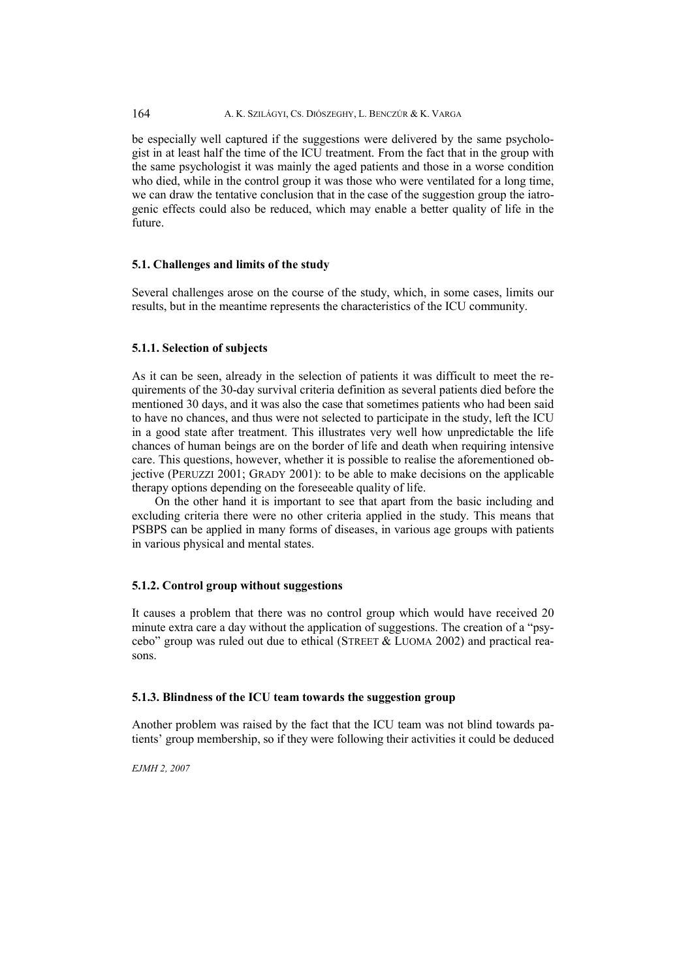# 164 A. K. SZILÁGYI, CS. DIÓSZEGHY, L. BENCZÚR & K. VARGA

be especially well captured if the suggestions were delivered by the same psychologist in at least half the time of the ICU treatment. From the fact that in the group with the same psychologist it was mainly the aged patients and those in a worse condition who died, while in the control group it was those who were ventilated for a long time, we can draw the tentative conclusion that in the case of the suggestion group the iatrogenic effects could also be reduced, which may enable a better quality of life in the future.

# **5.1. Challenges and limits of the study**

Several challenges arose on the course of the study, which, in some cases, limits our results, but in the meantime represents the characteristics of the ICU community.

#### **5.1.1. Selection of subjects**

As it can be seen, already in the selection of patients it was difficult to meet the requirements of the 30-day survival criteria definition as several patients died before the mentioned 30 days, and it was also the case that sometimes patients who had been said to have no chances, and thus were not selected to participate in the study, left the ICU in a good state after treatment. This illustrates very well how unpredictable the life chances of human beings are on the border of life and death when requiring intensive care. This questions, however, whether it is possible to realise the aforementioned objective (PERUZZI 2001; GRADY 2001): to be able to make decisions on the applicable therapy options depending on the foreseeable quality of life.

 On the other hand it is important to see that apart from the basic including and excluding criteria there were no other criteria applied in the study. This means that PSBPS can be applied in many forms of diseases, in various age groups with patients in various physical and mental states.

#### **5.1.2. Control group without suggestions**

It causes a problem that there was no control group which would have received 20 minute extra care a day without the application of suggestions. The creation of a "psycebo" group was ruled out due to ethical (STREET & LUOMA 2002) and practical reasons.

## **5.1.3. Blindness of the ICU team towards the suggestion group**

Another problem was raised by the fact that the ICU team was not blind towards patients' group membership, so if they were following their activities it could be deduced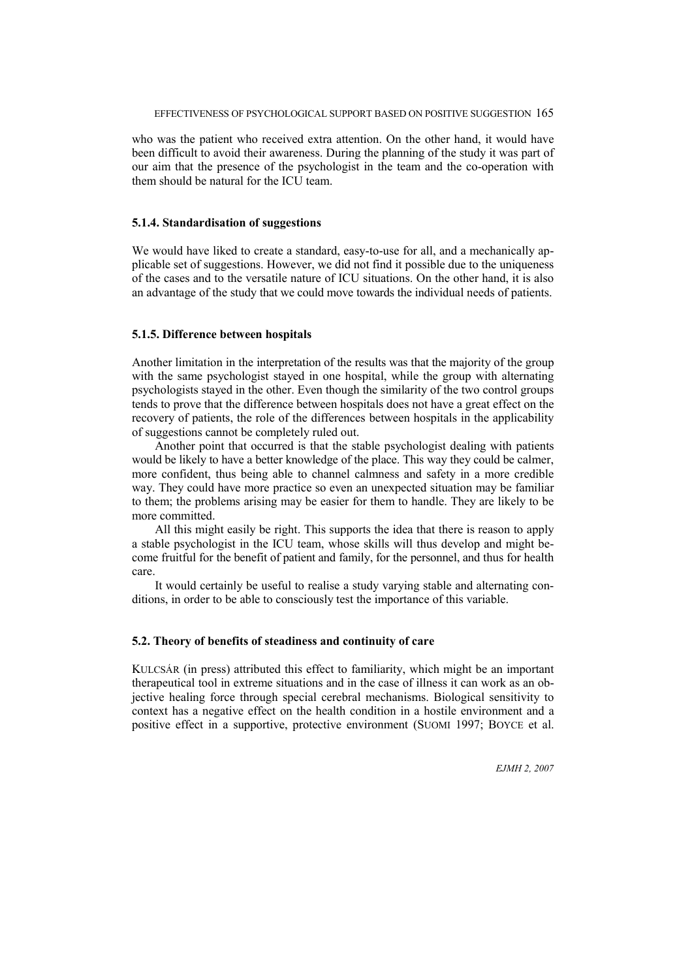who was the patient who received extra attention. On the other hand, it would have been difficult to avoid their awareness. During the planning of the study it was part of our aim that the presence of the psychologist in the team and the co-operation with them should be natural for the ICU team.

#### **5.1.4. Standardisation of suggestions**

We would have liked to create a standard, easy-to-use for all, and a mechanically applicable set of suggestions. However, we did not find it possible due to the uniqueness of the cases and to the versatile nature of ICU situations. On the other hand, it is also an advantage of the study that we could move towards the individual needs of patients.

#### **5.1.5. Difference between hospitals**

Another limitation in the interpretation of the results was that the majority of the group with the same psychologist stayed in one hospital, while the group with alternating psychologists stayed in the other. Even though the similarity of the two control groups tends to prove that the difference between hospitals does not have a great effect on the recovery of patients, the role of the differences between hospitals in the applicability of suggestions cannot be completely ruled out.

 Another point that occurred is that the stable psychologist dealing with patients would be likely to have a better knowledge of the place. This way they could be calmer, more confident, thus being able to channel calmness and safety in a more credible way. They could have more practice so even an unexpected situation may be familiar to them; the problems arising may be easier for them to handle. They are likely to be more committed.

 All this might easily be right. This supports the idea that there is reason to apply a stable psychologist in the ICU team, whose skills will thus develop and might become fruitful for the benefit of patient and family, for the personnel, and thus for health care.

 It would certainly be useful to realise a study varying stable and alternating conditions, in order to be able to consciously test the importance of this variable.

### **5.2. Theory of benefits of steadiness and continuity of care**

KULCSÁR (in press) attributed this effect to familiarity, which might be an important therapeutical tool in extreme situations and in the case of illness it can work as an objective healing force through special cerebral mechanisms. Biological sensitivity to context has a negative effect on the health condition in a hostile environment and a positive effect in a supportive, protective environment (SUOMI 1997; BOYCE et al.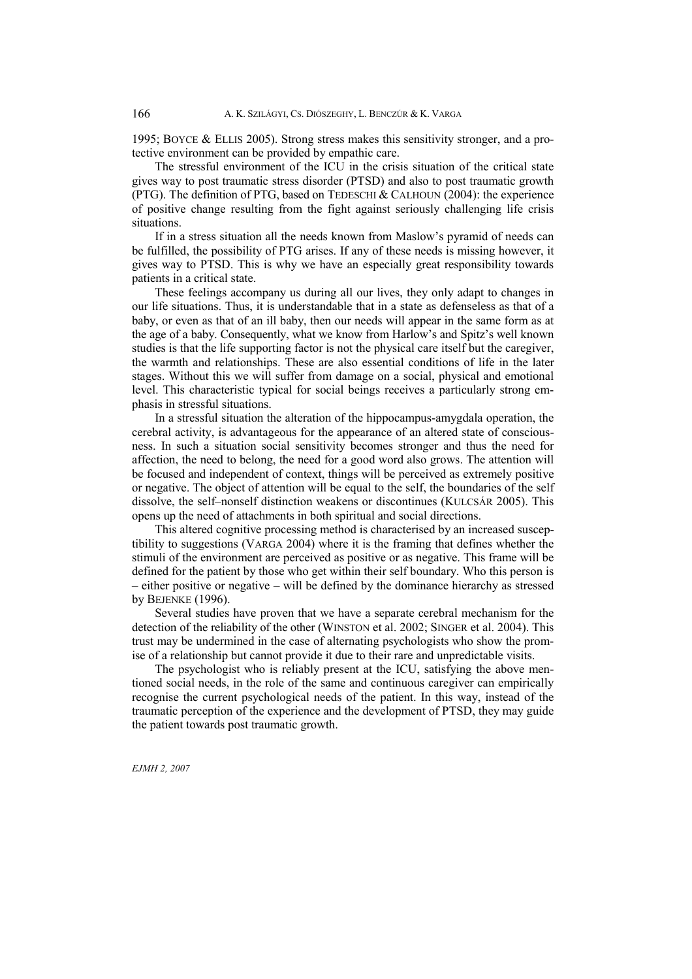1995; BOYCE & ELLIS 2005). Strong stress makes this sensitivity stronger, and a protective environment can be provided by empathic care.

 The stressful environment of the ICU in the crisis situation of the critical state gives way to post traumatic stress disorder (PTSD) and also to post traumatic growth (PTG). The definition of PTG, based on TEDESCHI & CALHOUN (2004): the experience of positive change resulting from the fight against seriously challenging life crisis situations.

 If in a stress situation all the needs known from Maslow's pyramid of needs can be fulfilled, the possibility of PTG arises. If any of these needs is missing however, it gives way to PTSD. This is why we have an especially great responsibility towards patients in a critical state.

 These feelings accompany us during all our lives, they only adapt to changes in our life situations. Thus, it is understandable that in a state as defenseless as that of a baby, or even as that of an ill baby, then our needs will appear in the same form as at the age of a baby. Consequently, what we know from Harlow's and Spitz's well known studies is that the life supporting factor is not the physical care itself but the caregiver, the warmth and relationships. These are also essential conditions of life in the later stages. Without this we will suffer from damage on a social, physical and emotional level. This characteristic typical for social beings receives a particularly strong emphasis in stressful situations.

 In a stressful situation the alteration of the hippocampus-amygdala operation, the cerebral activity, is advantageous for the appearance of an altered state of consciousness. In such a situation social sensitivity becomes stronger and thus the need for affection, the need to belong, the need for a good word also grows. The attention will be focused and independent of context, things will be perceived as extremely positive or negative. The object of attention will be equal to the self, the boundaries of the self dissolve, the self–nonself distinction weakens or discontinues (KULCSÁR 2005). This opens up the need of attachments in both spiritual and social directions.

 This altered cognitive processing method is characterised by an increased susceptibility to suggestions (VARGA 2004) where it is the framing that defines whether the stimuli of the environment are perceived as positive or as negative. This frame will be defined for the patient by those who get within their self boundary. Who this person is – either positive or negative – will be defined by the dominance hierarchy as stressed by BEJENKE (1996).

 Several studies have proven that we have a separate cerebral mechanism for the detection of the reliability of the other (WINSTON et al. 2002; SINGER et al. 2004). This trust may be undermined in the case of alternating psychologists who show the promise of a relationship but cannot provide it due to their rare and unpredictable visits.

 The psychologist who is reliably present at the ICU, satisfying the above mentioned social needs, in the role of the same and continuous caregiver can empirically recognise the current psychological needs of the patient. In this way, instead of the traumatic perception of the experience and the development of PTSD, they may guide the patient towards post traumatic growth.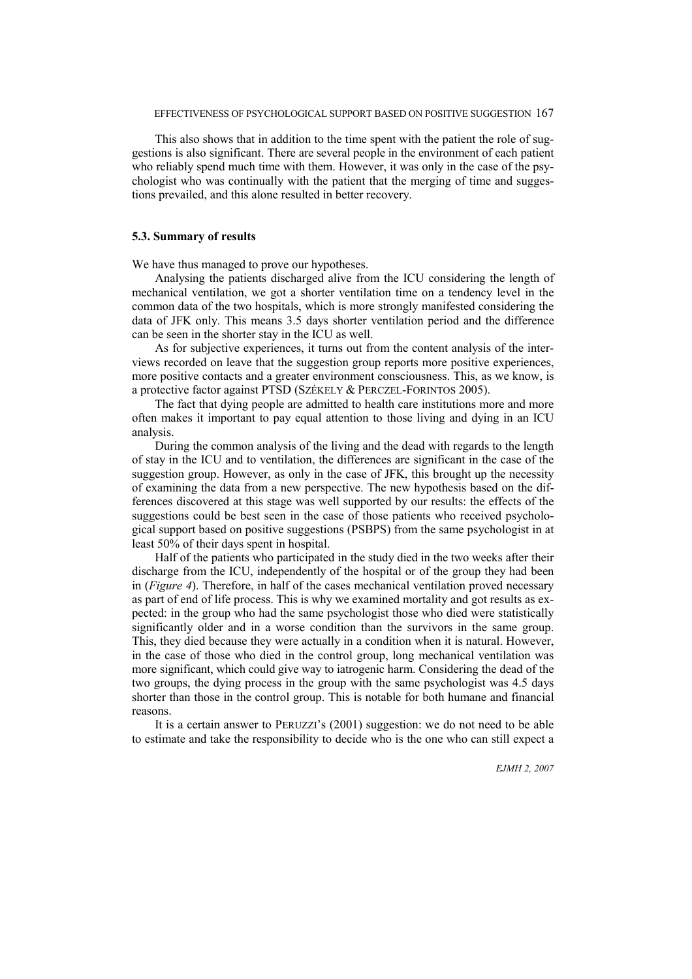This also shows that in addition to the time spent with the patient the role of suggestions is also significant. There are several people in the environment of each patient who reliably spend much time with them. However, it was only in the case of the psychologist who was continually with the patient that the merging of time and suggestions prevailed, and this alone resulted in better recovery.

### **5.3. Summary of results**

We have thus managed to prove our hypotheses.

 Analysing the patients discharged alive from the ICU considering the length of mechanical ventilation, we got a shorter ventilation time on a tendency level in the common data of the two hospitals, which is more strongly manifested considering the data of JFK only. This means 3.5 days shorter ventilation period and the difference can be seen in the shorter stay in the ICU as well.

 As for subjective experiences, it turns out from the content analysis of the interviews recorded on leave that the suggestion group reports more positive experiences, more positive contacts and a greater environment consciousness. This, as we know, is a protective factor against PTSD (SZÉKELY & PERCZEL-FORINTOS 2005).

 The fact that dying people are admitted to health care institutions more and more often makes it important to pay equal attention to those living and dying in an ICU analysis.

 During the common analysis of the living and the dead with regards to the length of stay in the ICU and to ventilation, the differences are significant in the case of the suggestion group. However, as only in the case of JFK, this brought up the necessity of examining the data from a new perspective. The new hypothesis based on the differences discovered at this stage was well supported by our results: the effects of the suggestions could be best seen in the case of those patients who received psychological support based on positive suggestions (PSBPS) from the same psychologist in at least 50% of their days spent in hospital.

 Half of the patients who participated in the study died in the two weeks after their discharge from the ICU, independently of the hospital or of the group they had been in (*Figure 4*). Therefore, in half of the cases mechanical ventilation proved necessary as part of end of life process. This is why we examined mortality and got results as expected: in the group who had the same psychologist those who died were statistically significantly older and in a worse condition than the survivors in the same group. This, they died because they were actually in a condition when it is natural. However, in the case of those who died in the control group, long mechanical ventilation was more significant, which could give way to iatrogenic harm. Considering the dead of the two groups, the dying process in the group with the same psychologist was 4.5 days shorter than those in the control group. This is notable for both humane and financial reasons.

 It is a certain answer to PERUZZI's (2001) suggestion: we do not need to be able to estimate and take the responsibility to decide who is the one who can still expect a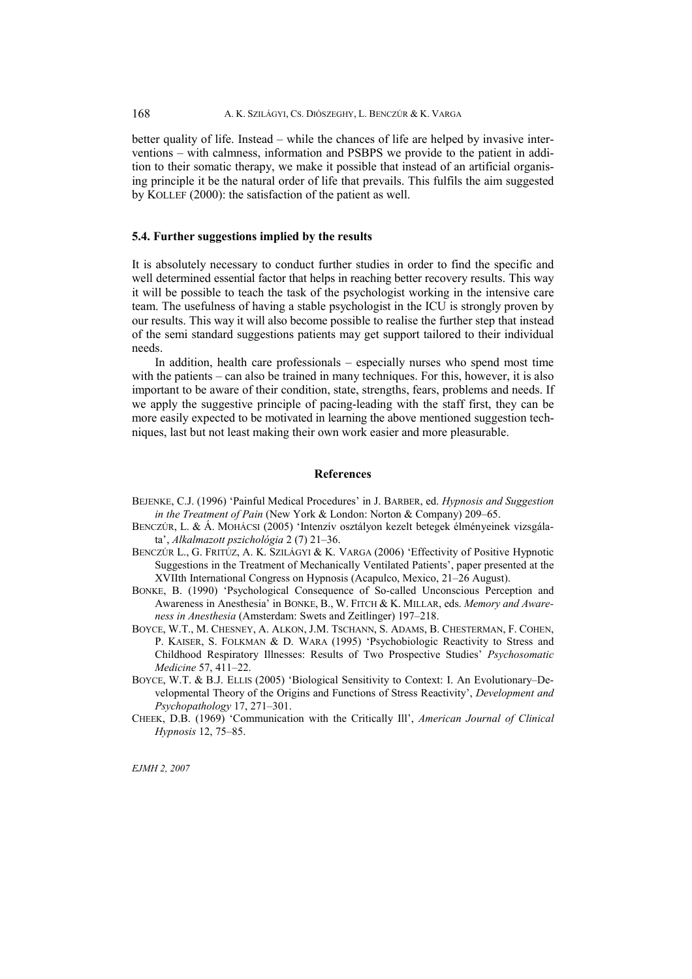better quality of life. Instead – while the chances of life are helped by invasive interventions – with calmness, information and PSBPS we provide to the patient in addition to their somatic therapy, we make it possible that instead of an artificial organising principle it be the natural order of life that prevails. This fulfils the aim suggested by KOLLEF (2000): the satisfaction of the patient as well.

## **5.4. Further suggestions implied by the results**

It is absolutely necessary to conduct further studies in order to find the specific and well determined essential factor that helps in reaching better recovery results. This way it will be possible to teach the task of the psychologist working in the intensive care team. The usefulness of having a stable psychologist in the ICU is strongly proven by our results. This way it will also become possible to realise the further step that instead of the semi standard suggestions patients may get support tailored to their individual needs.

 In addition, health care professionals – especially nurses who spend most time with the patients – can also be trained in many techniques. For this, however, it is also important to be aware of their condition, state, strengths, fears, problems and needs. If we apply the suggestive principle of pacing-leading with the staff first, they can be more easily expected to be motivated in learning the above mentioned suggestion techniques, last but not least making their own work easier and more pleasurable.

## **References**

- BEJENKE, C.J. (1996) 'Painful Medical Procedures' in J. BARBER, ed. *Hypnosis and Suggestion in the Treatment of Pain* (New York & London: Norton & Company) 209–65.
- BENCZÚR, L. & Á. MOHÁCSI (2005) 'Intenzív osztályon kezelt betegek élményeinek vizsgálata', *Alkalmazott pszichológia* 2 (7) 21–36.
- BENCZÚR L., G. FRITÚZ, A. K. SZILÁGYI & K. VARGA (2006) 'Effectivity of Positive Hypnotic Suggestions in the Treatment of Mechanically Ventilated Patients', paper presented at the XVIIth International Congress on Hypnosis (Acapulco, Mexico, 21–26 August).
- BONKE, B. (1990) 'Psychological Consequence of So-called Unconscious Perception and Awareness in Anesthesia' in BONKE, B., W. FITCH & K. MILLAR, eds. *Memory and Awareness in Anesthesia* (Amsterdam: Swets and Zeitlinger) 197–218.
- BOYCE, W.T., M. CHESNEY, A. ALKON, J.M. TSCHANN, S. ADAMS, B. CHESTERMAN, F. COHEN, P. KAISER, S. FOLKMAN & D. WARA (1995) 'Psychobiologic Reactivity to Stress and Childhood Respiratory Illnesses: Results of Two Prospective Studies' *Psychosomatic Medicine* 57, 411–22.
- BOYCE, W.T. & B.J. ELLIS (2005) 'Biological Sensitivity to Context: I. An Evolutionary–Developmental Theory of the Origins and Functions of Stress Reactivity', *Development and Psychopathology* 17, 271–301.
- CHEEK, D.B. (1969) 'Communication with the Critically Ill', *American Journal of Clinical Hypnosis* 12, 75–85.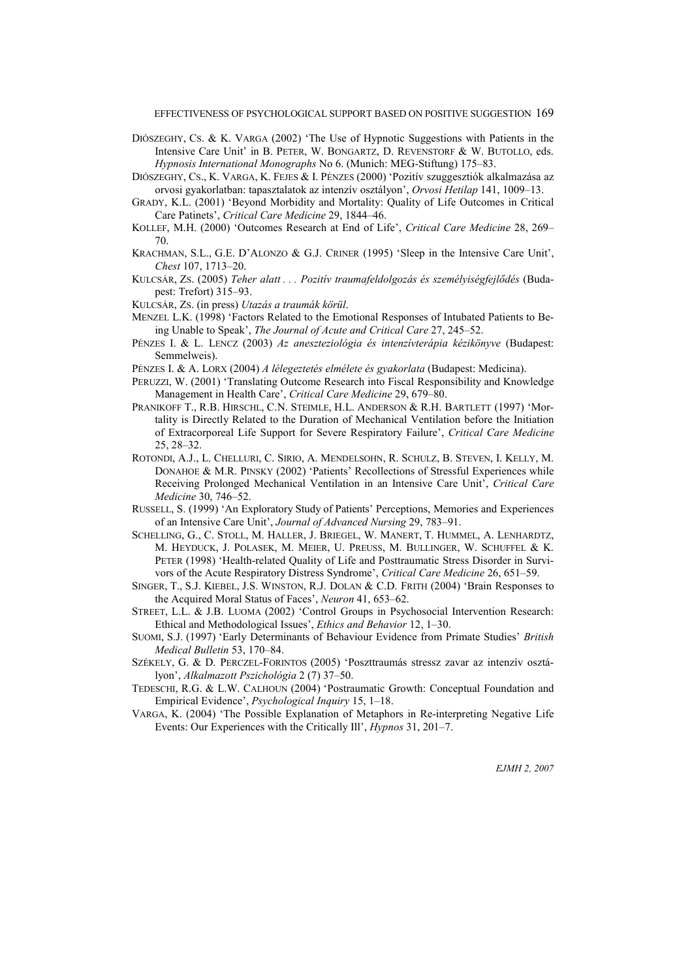EFFECTIVENESS OF PSYCHOLOGICAL SUPPORT BASED ON POSITIVE SUGGESTION 169

- DIÓSZEGHY, CS. & K. VARGA (2002) 'The Use of Hypnotic Suggestions with Patients in the Intensive Care Unit' in B. PETER, W. BONGARTZ, D. REVENSTORF & W. BUTOLLO, eds. *Hypnosis International Monographs* No 6. (Munich: MEG-Stiftung) 175–83.
- DIÓSZEGHY, CS., K. VARGA, K. FEJES & I. PÉNZES (2000) 'Pozitív szuggesztiók alkalmazása az orvosi gyakorlatban: tapasztalatok az intenzív osztályon', *Orvosi Hetilap* 141, 1009–13.
- GRADY, K.L. (2001) 'Beyond Morbidity and Mortality: Quality of Life Outcomes in Critical Care Patinets', *Critical Care Medicine* 29, 1844–46.
- KOLLEF, M.H. (2000) 'Outcomes Research at End of Life', *Critical Care Medicine* 28, 269– 70.
- KRACHMAN, S.L., G.E. D'ALONZO & G.J. CRINER (1995) 'Sleep in the Intensive Care Unit', *Chest* 107, 1713–20.
- KULCSÁR, ZS. (2005) *Teher alatt . . . Pozitív traumafeldolgozás és személyiségfejlődés* (Budapest: Trefort) 315–93.
- KULCSÁR, ZS. (in press) *Utazás a traumák körül*.
- MENZEL L.K. (1998) 'Factors Related to the Emotional Responses of Intubated Patients to Being Unable to Speak', *The Journal of Acute and Critical Care* 27, 245–52.
- PÉNZES I. & L. LENCZ (2003) *Az aneszteziológia és intenzívterápia kézikönyve* (Budapest: Semmelweis).
- PÉNZES I. & A. LORX (2004) *A lélegeztetés elmélete és gyakorlata* (Budapest: Medicina).
- PERUZZI, W. (2001) 'Translating Outcome Research into Fiscal Responsibility and Knowledge Management in Health Care', *Critical Care Medicine* 29, 679–80.
- PRANIKOFF T., R.B. HIRSCHL, C.N. STEIMLE, H.L. ANDERSON & R.H. BARTLETT (1997) 'Mortality is Directly Related to the Duration of Mechanical Ventilation before the Initiation of Extracorporeal Life Support for Severe Respiratory Failure', *Critical Care Medicine* 25, 28–32.
- ROTONDI, A.J., L. CHELLURI, C. SIRIO, A. MENDELSOHN, R. SCHULZ, B. STEVEN, I. KELLY, M. DONAHOE & M.R. PINSKY (2002) 'Patients' Recollections of Stressful Experiences while Receiving Prolonged Mechanical Ventilation in an Intensive Care Unit', *Critical Care Medicine* 30, 746–52.
- RUSSELL, S. (1999) 'An Exploratory Study of Patients' Perceptions, Memories and Experiences of an Intensive Care Unit', *Journal of Advanced Nursing* 29, 783–91.
- SCHELLING, G., C. STOLL, M. HALLER, J. BRIEGEL, W. MANERT, T. HUMMEL, A. LENHARDTZ, M. HEYDUCK, J. POLASEK, M. MEIER, U. PREUSS, M. BULLINGER, W. SCHUFFEL & K. PETER (1998) 'Health-related Quality of Life and Posttraumatic Stress Disorder in Survivors of the Acute Respiratory Distress Syndrome', *Critical Care Medicine* 26, 651–59.
- SINGER, T., S.J. KIEBEL, J.S. WINSTON, R.J. DOLAN & C.D. FRITH (2004) 'Brain Responses to the Acquired Moral Status of Faces', *Neuron* 41, 653–62.
- STREET, L.L. & J.B. LUOMA (2002) 'Control Groups in Psychosocial Intervention Research: Ethical and Methodological Issues', *Ethics and Behavior* 12, 1–30.
- SUOMI, S.J. (1997) 'Early Determinants of Behaviour Evidence from Primate Studies' *British Medical Bulletin* 53, 170–84.
- SZÉKELY, G. & D. PERCZEL-FORINTOS (2005) 'Poszttraumás stressz zavar az intenzív osztályon', *Alkalmazott Pszichológia* 2 (7) 37–50.
- TEDESCHI, R.G. & L.W. CALHOUN (2004) 'Postraumatic Growth: Conceptual Foundation and Empirical Evidence', *Psychological Inquiry* 15, 1–18.
- VARGA, K. (2004) 'The Possible Explanation of Metaphors in Re-interpreting Negative Life Events: Our Experiences with the Critically Ill', *Hypnos* 31, 201–7.